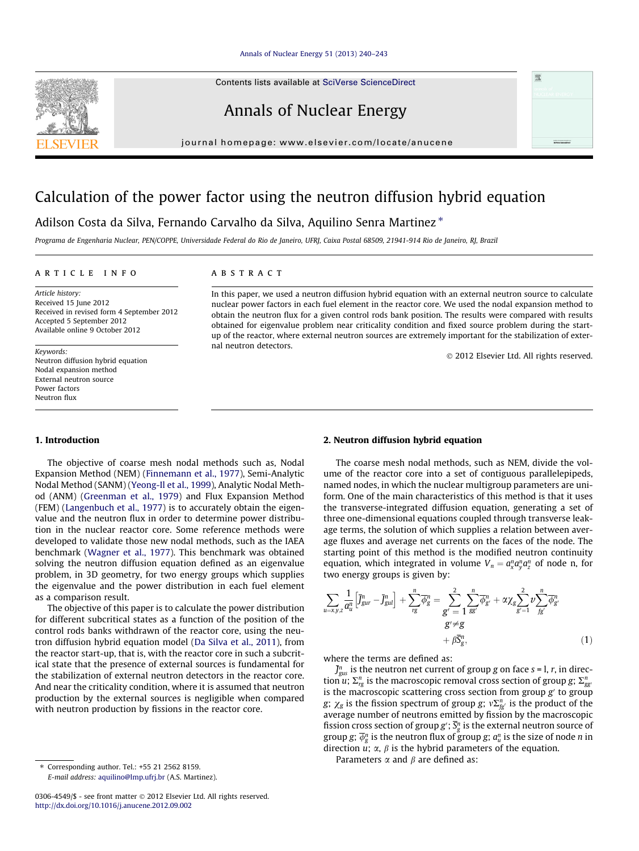#### [Annals of Nuclear Energy 51 \(2013\) 240–243](http://dx.doi.org/10.1016/j.anucene.2012.09.002)

Contents lists available at [SciVerse ScienceDirect](http://www.sciencedirect.com/science/journal/03064549)

## Annals of Nuclear Energy

journal homepage: [www.elsevier.com/locate/anucene](http://www.elsevier.com/locate/anucene)

# Calculation of the power factor using the neutron diffusion hybrid equation

### Adilson Costa da Silva, Fernando Carvalho da Silva, Aquilino Senra Martinez \*

Programa de Engenharia Nuclear, PEN/COPPE, Universidade Federal do Rio de Janeiro, UFRJ, Caixa Postal 68509, 21941-914 Rio de Janeiro, RJ, Brazil

#### article info

Article history: Received 15 June 2012 Received in revised form 4 September 2012 Accepted 5 September 2012 Available online 9 October 2012

Keywords: Neutron diffusion hybrid equation Nodal expansion method External neutron source Power factors Neutron flux

#### **ABSTRACT**

In this paper, we used a neutron diffusion hybrid equation with an external neutron source to calculate nuclear power factors in each fuel element in the reactor core. We used the nodal expansion method to obtain the neutron flux for a given control rods bank position. The results were compared with results obtained for eigenvalue problem near criticality condition and fixed source problem during the startup of the reactor, where external neutron sources are extremely important for the stabilization of external neutron detectors.

- 2012 Elsevier Ltd. All rights reserved.

#### 1. Introduction

The objective of coarse mesh nodal methods such as, Nodal Expansion Method (NEM) [\(Finnemann et al., 1977](#page--1-0)), Semi-Analytic Nodal Method (SANM) [\(Yeong-Il et al., 1999\)](#page--1-0), Analytic Nodal Method (ANM) [\(Greenman et al., 1979\)](#page--1-0) and Flux Expansion Method (FEM) [\(Langenbuch et al., 1977\)](#page--1-0) is to accurately obtain the eigenvalue and the neutron flux in order to determine power distribution in the nuclear reactor core. Some reference methods were developed to validate those new nodal methods, such as the IAEA benchmark ([Wagner et al., 1977\)](#page--1-0). This benchmark was obtained solving the neutron diffusion equation defined as an eigenvalue problem, in 3D geometry, for two energy groups which supplies the eigenvalue and the power distribution in each fuel element as a comparison result.

The objective of this paper is to calculate the power distribution for different subcritical states as a function of the position of the control rods banks withdrawn of the reactor core, using the neutron diffusion hybrid equation model [\(Da Silva et al., 2011\)](#page--1-0), from the reactor start-up, that is, with the reactor core in such a subcritical state that the presence of external sources is fundamental for the stabilization of external neutron detectors in the reactor core. And near the criticality condition, where it is assumed that neutron production by the external sources is negligible when compared with neutron production by fissions in the reactor core.

⇑ Corresponding author. Tel.: +55 21 2562 8159. E-mail address: [aquilino@lmp.ufrj.br](mailto:aquilino@lmp.ufrj.br) (A.S. Martinez).

#### 2. Neutron diffusion hybrid equation

The coarse mesh nodal methods, such as NEM, divide the volume of the reactor core into a set of contiguous parallelepipeds, named nodes, in which the nuclear multigroup parameters are uniform. One of the main characteristics of this method is that it uses the transverse-integrated diffusion equation, generating a set of three one-dimensional equations coupled through transverse leakage terms, the solution of which supplies a relation between average fluxes and average net currents on the faces of the node. The starting point of this method is the modified neutron continuity equation, which integrated in volume  $V_n = a^n_{\lambda} a^n_{\lambda} a^n_{\lambda}$  of node n, for two energy groups is given by:

$$
\sum_{u=x,y,z} \frac{1}{a_u^n} \left[ \bar{J}_{gur}^n - \bar{J}_{gul}^n \right] + \sum_{rg} \overline{\phi}_{g}^n = \sum_{g'=1}^2 \sum_{gg'}^n \overline{\phi}_{g'}^n + \alpha \chi_g \sum_{g'=1}^2 \nu \sum_{fg'}^n \overline{\phi}_{g'}^n
$$
  

$$
g' \neq g
$$
  

$$
+ \beta \overline{S}_{g}^n, \tag{1}
$$

where the terms are defined as:

 $\bar{J}^n_{\text{gus}}$  is the neutron net current of group g on face s = l, r, in direction u;  $\Sigma_{\text{rg}}^n$  is the macroscopic removal cross section of group g;  $\Sigma_{\text{gg}}^n$ is the macroscopic scattering cross section from group  $g'$  to group g;  $\chi_g$  is the fission spectrum of group g;  $v \Sigma_{fg}^n$  is the product of the average number of neutrons emitted by fission by the macroscopic fission cross section of group  $g'$ ;  $\overline{S_g}$  is the external neutron source of group g;  $\overline{\phi}_g^n$  is the neutron flux of group g;  $a_u^n$  is the size of node n in direction  $u$ ;  $\alpha$ ,  $\beta$  is the hybrid parameters of the equation.

Parameters  $\alpha$  and  $\beta$  are defined as:

<span id="page-0-0"></span>

<sup>0306-4549/\$ -</sup> see front matter © 2012 Elsevier Ltd. All rights reserved. <http://dx.doi.org/10.1016/j.anucene.2012.09.002>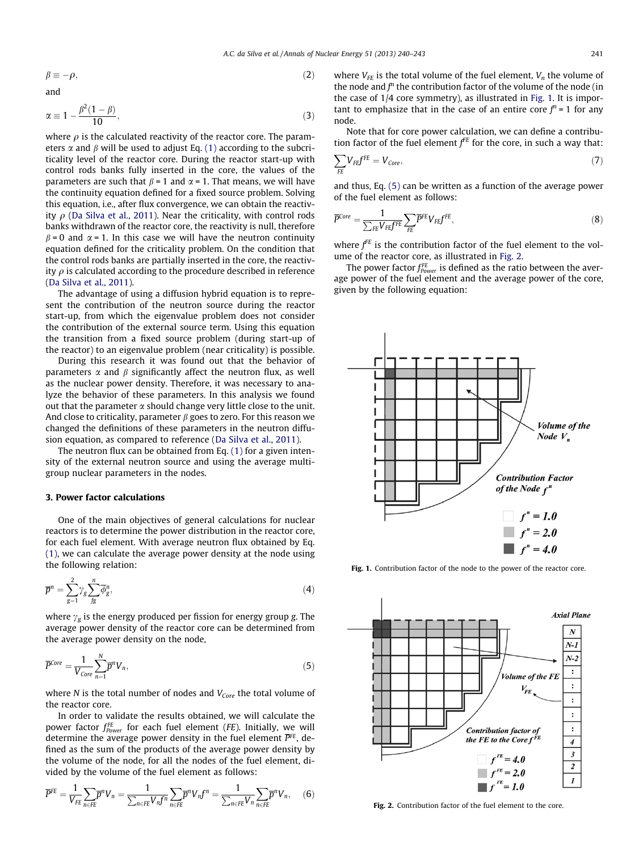$\beta \equiv -\rho$ ,  $\rho$ , (2)

$$
\quad \text{and} \quad
$$

$$
\alpha \equiv 1 - \frac{\beta^2 (1 - \beta)}{10},\tag{3}
$$

where  $\rho$  is the calculated reactivity of the reactor core. The parameters  $\alpha$  and  $\beta$  will be used to adjust Eq. [\(1\)](#page-0-0) according to the subcriticality level of the reactor core. During the reactor start-up with control rods banks fully inserted in the core, the values of the parameters are such that  $\beta = 1$  and  $\alpha = 1$ . That means, we will have the continuity equation defined for a fixed source problem. Solving this equation, i.e., after flux convergence, we can obtain the reactivity  $\rho$  ([Da Silva et al., 2011](#page--1-0)). Near the criticality, with control rods banks withdrawn of the reactor core, the reactivity is null, therefore  $\beta$  = 0 and  $\alpha$  = 1. In this case we will have the neutron continuity equation defined for the criticality problem. On the condition that the control rods banks are partially inserted in the core, the reactivity  $\rho$  is calculated according to the procedure described in reference ([Da Silva et al., 2011](#page--1-0)).

The advantage of using a diffusion hybrid equation is to represent the contribution of the neutron source during the reactor start-up, from which the eigenvalue problem does not consider the contribution of the external source term. Using this equation the transition from a fixed source problem (during start-up of the reactor) to an eigenvalue problem (near criticality) is possible.

During this research it was found out that the behavior of parameters  $\alpha$  and  $\beta$  significantly affect the neutron flux, as well as the nuclear power density. Therefore, it was necessary to analyze the behavior of these parameters. In this analysis we found out that the parameter  $\alpha$  should change very little close to the unit. And close to criticality, parameter  $\beta$  goes to zero. For this reason we changed the definitions of these parameters in the neutron diffusion equation, as compared to reference ([Da Silva et al., 2011](#page--1-0)).

The neutron flux can be obtained from Eq. [\(1\)](#page-0-0) for a given intensity of the external neutron source and using the average multigroup nuclear parameters in the nodes.

#### 3. Power factor calculations

One of the main objectives of general calculations for nuclear reactors is to determine the power distribution in the reactor core, for each fuel element. With average neutron flux obtained by Eq. [\(1\)](#page-0-0), we can calculate the average power density at the node using the following relation:

$$
\overline{p}^n = \sum_{g=1}^2 \gamma_g \sum_{fg}^n \overline{\phi}_g^n,\tag{4}
$$

where  $\gamma_g$  is the energy produced per fission for energy group g. The average power density of the reactor core can be determined from the average power density on the node,

$$
\overline{P}^{Core} = \frac{1}{V_{Core}} \sum_{n=1}^{N} \overline{p}^n V_n, \tag{5}
$$

where  $N$  is the total number of nodes and  $V_{Core}$  the total volume of the reactor core.

In order to validate the results obtained, we will calculate the power factor  $f_{Power}^{FE}$  for each fuel element (FE). Initially, we will determine the average power density in the fuel element  $\overline{P^{FE}}$ , defined as the sum of the products of the average power density by the volume of the node, for all the nodes of the fuel element, divided by the volume of the fuel element as follows:

$$
\overline{P}^{FE} = \frac{1}{V_{FE}} \sum_{n \in FE} \overline{p}^n V_n = \frac{1}{\sum_{n \in FE} V_n f^n} \sum_{n \in FE} \overline{p}^n V_n f^n = \frac{1}{\sum_{n \in FE} V_n} \sum_{n \in FE} \overline{p}^n V_n, \quad (6)
$$

where  $V_{FE}$  is the total volume of the fuel element,  $V_n$  the volume of the node and  $f<sup>n</sup>$  the contribution factor of the volume of the node (in the case of 1/4 core symmetry), as illustrated in Fig. 1. It is important to emphasize that in the case of an entire core  $f^n = 1$  for any node.

Note that for core power calculation, we can define a contribution factor of the fuel element  $f^{FE}$  for the core, in such a way that:

$$
\sum_{FE} V_{FE} f^{FE} = V_{Core},\tag{7}
$$

and thus, Eq. (5) can be written as a function of the average power of the fuel element as follows:

$$
\overline{P}^{Core} = \frac{1}{\sum_{FE} V_{FE} f^{FE}} \sum_{FE} \overline{P}^{FE} V_{FE} f^{FE},\tag{8}
$$

where  $f<sup>FE</sup>$  is the contribution factor of the fuel element to the volume of the reactor core, as illustrated in Fig. 2.

The power factor  $f_{Power}^{FE}$  is defined as the ratio between the average power of the fuel element and the average power of the core, given by the following equation:



Fig. 1. Contribution factor of the node to the power of the reactor core.



Fig. 2. Contribution factor of the fuel element to the core.